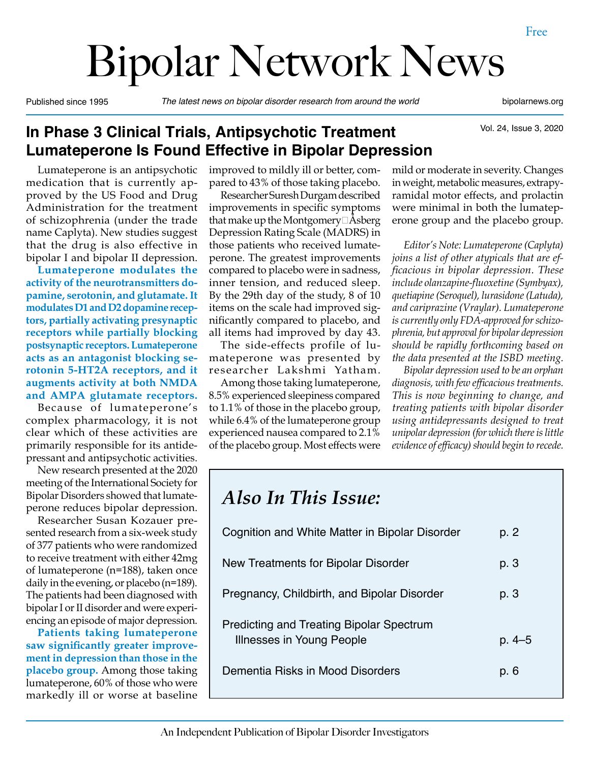# Bipolar Network News

Published since 1995 *The latest news on bipolar disorder research from around the world* bipolarnews.org

Vol. 24, Issue 3, 2020

## **In Phase 3 Clinical Trials, Antipsychotic Treatment Lumateperone Is Found Effective in Bipolar Depression**

Lumateperone is an antipsychotic medication that is currently approved by the US Food and Drug Administration for the treatment of schizophrenia (under the trade name Caplyta). New studies suggest that the drug is also effective in bipolar I and bipolar II depression.

**Lumateperone modulates the activity of the neurotransmitters dopamine, serotonin, and glutamate. It modulates D1 and D2 dopamine receptors, partially activating presynaptic receptors while partially blocking postsynaptic receptors. Lumateperone acts as an antagonist blocking serotonin 5-HT2A receptors, and it augments activity at both NMDA and AMPA glutamate receptors.** 

Because of lumateperone's complex pharmacology, it is not clear which of these activities are primarily responsible for its antidepressant and antipsychotic activities.

New research presented at the 2020 meeting of the International Society for Bipolar Disorders showed that lumateperone reduces bipolar depression.

Researcher Susan Kozauer presented research from a six-week study of 377 patients who were randomized to receive treatment with either 42mg of lumateperone (n=188), taken once daily in the evening, or placebo (n=189). The patients had been diagnosed with bipolar I or II disorder and were experiencing an episode of major depression.

**Patients taking lumateperone saw significantly greater improvement in depression than those in the placebo group.** Among those taking lumateperone, 60% of those who were markedly ill or worse at baseline

improved to mildly ill or better, compared to 43% of those taking placebo.

Researcher Suresh Durgam described improvements in specific symptoms that make up the Montgomery $\Box$ Asberg Depression Rating Scale (MADRS) in those patients who received lumateperone. The greatest improvements compared to placebo were in sadness, inner tension, and reduced sleep. By the 29th day of the study, 8 of 10 items on the scale had improved significantly compared to placebo, and all items had improved by day 43.

The side-effects profile of lumateperone was presented by researcher Lakshmi Yatham.

Among those taking lumateperone, 8.5% experienced sleepiness compared to 1.1% of those in the placebo group, while 6.4% of the lumateperone group experienced nausea compared to 2.1% of the placebo group. Most effects were mild or moderate in severity. Changes in weight, metabolic measures, extrapyramidal motor effects, and prolactin were minimal in both the lumateperone group and the placebo group.

*Editor's Note: Lumateperone (Caplyta) joins a list of other atypicals that are efficacious in bipolar depression. These include olanzapine-fluoxetine (Symbyax), quetiapine (Seroquel), lurasidone (Latuda), and cariprazine (Vraylar). Lumateperone is currently only FDA-approved for schizophrenia, but approval for bipolar depression should be rapidly forthcoming based on the data presented at the ISBD meeting.*

*Bipolar depression used to be an orphan diagnosis, with few efficacious treatments. This is now beginning to change, and treating patients with bipolar disorder using antidepressants designed to treat unipolar depression (for which there is little evidence of efficacy) should begin to recede.*

| p. 2   |
|--------|
| p. 3   |
| p. 3   |
| p. 4–5 |
| p. 6   |
|        |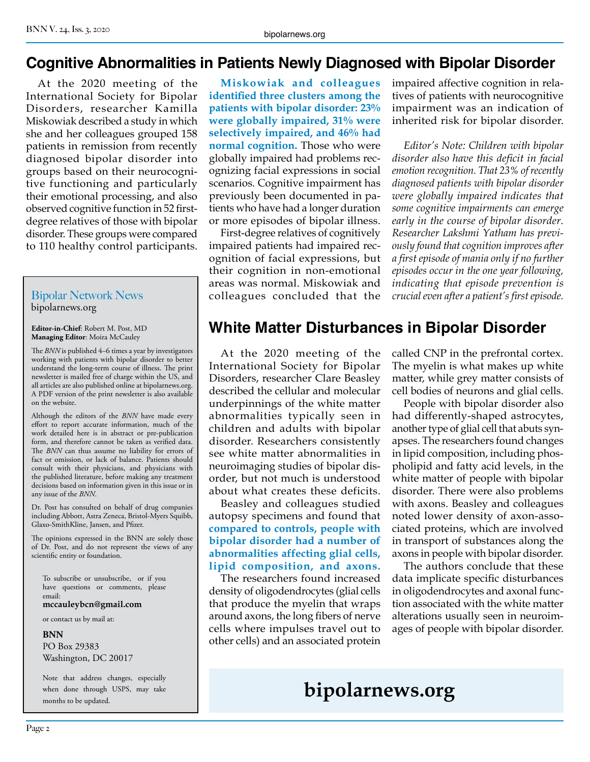## **Cognitive Abnormalities in Patients Newly Diagnosed with Bipolar Disorder**

At the 2020 meeting of the International Society for Bipolar Disorders, researcher Kamilla Miskowiak described a study in which she and her colleagues grouped 158 patients in remission from recently diagnosed bipolar disorder into groups based on their neurocognitive functioning and particularly their emotional processing, and also observed cognitive function in 52 firstdegree relatives of those with bipolar disorder. These groups were compared to 110 healthy control participants.

#### Bipolar Network News bipolarnews.org

**Editor-in-Chief**: Robert M. Post, MD **Managing Editor**: Moira McCauley

The *BNN* is published 4–6 times a year by investigators working with patients with bipolar disorder to better understand the long-term course of illness. The print newsletter is mailed free of charge within the US, and all articles are also published online at bipolarnews.org. A PDF version of the print newsletter is also available on the website.

Although the editors of the *BNN* have made every effort to report accurate information, much of the work detailed here is in abstract or pre-publication form, and therefore cannot be taken as verified data. The *BNN* can thus assume no liability for errors of fact or omission, or lack of balance. Patients should consult with their physicians, and physicians with the published literature, before making any treatment decisions based on information given in this issue or in any issue of the *BNN*.

Dr. Post has consulted on behalf of drug companies including Abbott, Astra Zeneca, Bristol-Myers Squibb, Glaxo-SmithKline, Jansen, and Pfizer.

The opinions expressed in the BNN are solely those of Dr. Post, and do not represent the views of any scientific entity or foundation.

To subscribe or unsubscribe, or if you have questions or comments, please email:

**mccauleybcn@gmail.com**

or contact us by mail at:

#### **BNN**

PO Box 29383 Washington, DC 20017

Note that address changes, especially when done through USPS, may take months to be updated.

**Miskowiak and colleagues identified three clusters among the patients with bipolar disorder: 23% were globally impaired, 31% were selectively impaired, and 46% had normal cognition.** Those who were globally impaired had problems recognizing facial expressions in social scenarios. Cognitive impairment has previously been documented in patients who have had a longer duration or more episodes of bipolar illness.

First-degree relatives of cognitively impaired patients had impaired recognition of facial expressions, but their cognition in non-emotional areas was normal. Miskowiak and colleagues concluded that the impaired affective cognition in relatives of patients with neurocognitive impairment was an indication of inherited risk for bipolar disorder.

*Editor's Note: Children with bipolar disorder also have this deficit in facial emotion recognition. That 23% of recently diagnosed patients with bipolar disorder were globally impaired indicates that some cognitive impairments can emerge early in the course of bipolar disorder. Researcher Lakshmi Yatham has previously found that cognition improves after a first episode of mania only if no further episodes occur in the one year following, indicating that episode prevention is crucial even after a patient's first episode.*

# **White Matter Disturbances in Bipolar Disorder**

At the 2020 meeting of the International Society for Bipolar Disorders, researcher Clare Beasley described the cellular and molecular underpinnings of the white matter abnormalities typically seen in children and adults with bipolar disorder. Researchers consistently see white matter abnormalities in neuroimaging studies of bipolar disorder, but not much is understood about what creates these deficits.

Beasley and colleagues studied autopsy specimens and found that **compared to controls, people with bipolar disorder had a number of abnormalities affecting glial cells, lipid composition, and axons.** 

The researchers found increased density of oligodendrocytes (glial cells that produce the myelin that wraps around axons, the long fibers of nerve cells where impulses travel out to other cells) and an associated protein

called CNP in the prefrontal cortex. The myelin is what makes up white matter, while grey matter consists of cell bodies of neurons and glial cells.

People with bipolar disorder also had differently-shaped astrocytes, another type of glial cell that abuts synapses. The researchers found changes in lipid composition, including phospholipid and fatty acid levels, in the white matter of people with bipolar disorder. There were also problems with axons. Beasley and colleagues noted lower density of axon-associated proteins, which are involved in transport of substances along the axons in people with bipolar disorder.

The authors conclude that these data implicate specific disturbances in oligodendrocytes and axonal function associated with the white matter alterations usually seen in neuroimages of people with bipolar disorder.

# **bipolarnews.org**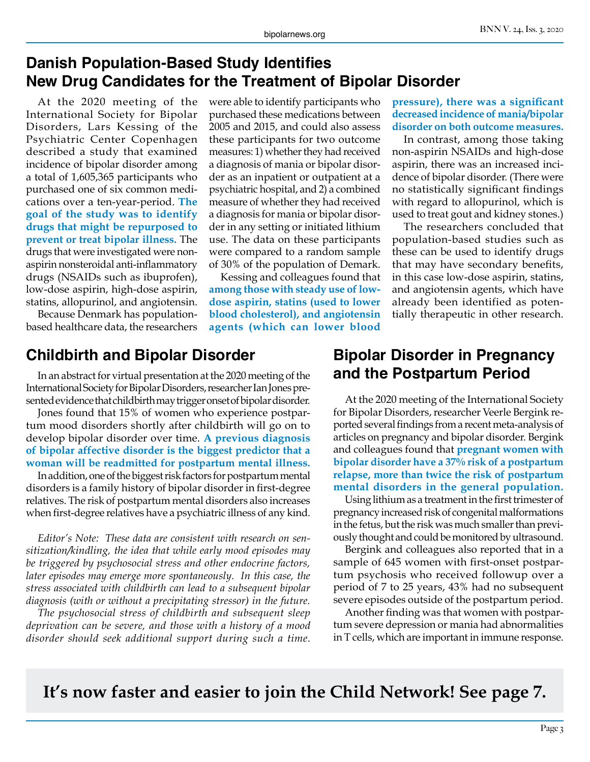#### **Danish Population-Based Study Identifies New Drug Candidates for the Treatment of Bipolar Disorder**

At the 2020 meeting of the International Society for Bipolar Disorders, Lars Kessing of the Psychiatric Center Copenhagen described a study that examined incidence of bipolar disorder among a total of 1,605,365 participants who purchased one of six common medications over a ten-year-period. **The goal of the study was to identify drugs that might be repurposed to prevent or treat bipolar illness.** The drugs that were investigated were nonaspirin nonsteroidal anti-inflammatory drugs (NSAIDs such as ibuprofen), low-dose aspirin, high-dose aspirin, statins, allopurinol, and angiotensin.

Because Denmark has populationbased healthcare data, the researchers were able to identify participants who purchased these medications between 2005 and 2015, and could also assess these participants for two outcome measures: 1) whether they had received a diagnosis of mania or bipolar disorder as an inpatient or outpatient at a psychiatric hospital, and 2) a combined measure of whether they had received a diagnosis for mania or bipolar disorder in any setting or initiated lithium use. The data on these participants were compared to a random sample of 30% of the population of Demark.

Kessing and colleagues found that **among those with steady use of lowdose aspirin, statins (used to lower blood cholesterol), and angiotensin agents (which can lower blood** 

#### **Childbirth and Bipolar Disorder**

In an abstract for virtual presentation at the 2020 meeting of the International Society for Bipolar Disorders, researcher Ian Jones presented evidence that childbirth may trigger onset of bipolar disorder.

Jones found that 15% of women who experience postpartum mood disorders shortly after childbirth will go on to develop bipolar disorder over time. **A previous diagnosis of bipolar affective disorder is the biggest predictor that a woman will be readmitted for postpartum mental illness.**

In addition, one of the biggest risk factors for postpartum mental disorders is a family history of bipolar disorder in first-degree relatives. The risk of postpartum mental disorders also increases when first-degree relatives have a psychiatric illness of any kind.

*Editor's Note: These data are consistent with research on sensitization/kindling, the idea that while early mood episodes may be triggered by psychosocial stress and other endocrine factors, later episodes may emerge more spontaneously. In this case, the stress associated with childbirth can lead to a subsequent bipolar diagnosis (with or without a precipitating stressor) in the future.*

*The psychosocial stress of childbirth and subsequent sleep deprivation can be severe, and those with a history of a mood disorder should seek additional support during such a time.*

**pressure), there was a significant decreased incidence of mania/bipolar disorder on both outcome measures.** 

In contrast, among those taking non-aspirin NSAIDs and high-dose aspirin, there was an increased incidence of bipolar disorder. (There were no statistically significant findings with regard to allopurinol, which is used to treat gout and kidney stones.)

The researchers concluded that population-based studies such as these can be used to identify drugs that may have secondary benefits, in this case low-dose aspirin, statins, and angiotensin agents, which have already been identified as potentially therapeutic in other research.

#### **Bipolar Disorder in Pregnancy and the Postpartum Period**

At the 2020 meeting of the International Society for Bipolar Disorders, researcher Veerle Bergink reported several findings from a recent meta-analysis of articles on pregnancy and bipolar disorder. Bergink and colleagues found that **pregnant women with bipolar disorder have a 37% risk of a postpartum relapse, more than twice the risk of postpartum mental disorders in the general population.**

Using lithium as a treatment in the first trimester of pregnancy increased risk of congenital malformations in the fetus, but the risk was much smaller than previously thought and could be monitored by ultrasound.

Bergink and colleagues also reported that in a sample of 645 women with first-onset postpartum psychosis who received followup over a period of 7 to 25 years, 43% had no subsequent severe episodes outside of the postpartum period.

Another finding was that women with postpartum severe depression or mania had abnormalities in T cells, which are important in immune response.

**It's now faster and easier to join the Child Network! See page 7.**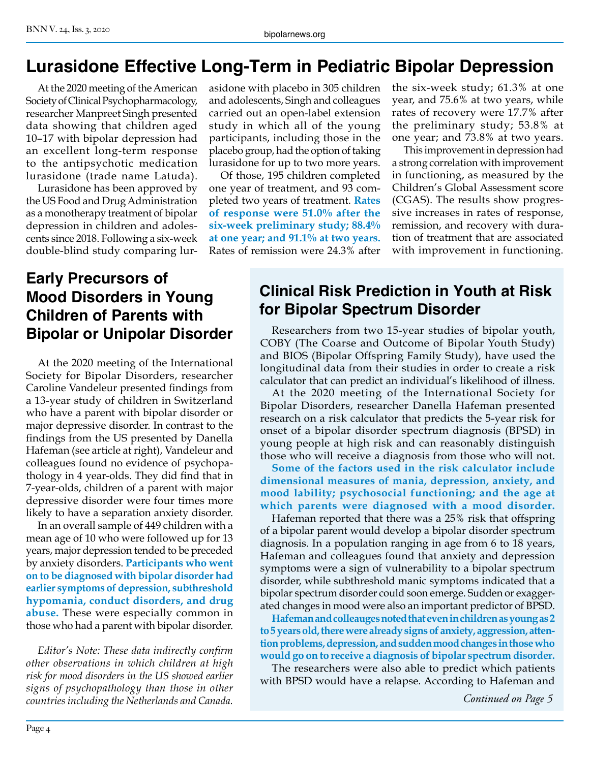# **Lurasidone Effective Long-Term in Pediatric Bipolar Depression**

At the 2020 meeting of the American Society of Clinical Psychopharmacology, researcher Manpreet Singh presented data showing that children aged 10–17 with bipolar depression had an excellent long-term response to the antipsychotic medication lurasidone (trade name Latuda).

Lurasidone has been approved by the US Food and Drug Administration as a monotherapy treatment of bipolar depression in children and adolescents since 2018. Following a six-week double-blind study comparing lurasidone with placebo in 305 children and adolescents, Singh and colleagues carried out an open-label extension study in which all of the young participants, including those in the placebo group, had the option of taking lurasidone for up to two more years.

Of those, 195 children completed one year of treatment, and 93 completed two years of treatment. **Rates of response were 51.0% after the six-week preliminary study; 88.4% at one year; and 91.1% at two years.**  Rates of remission were 24.3% after the six-week study; 61.3% at one year, and 75.6% at two years, while rates of recovery were 17.7% after the preliminary study; 53.8% at one year; and 73.8% at two years.

This improvement in depression had a strong correlation with improvement in functioning, as measured by the Children's Global Assessment score (CGAS). The results show progressive increases in rates of response, remission, and recovery with duration of treatment that are associated with improvement in functioning.

# **Early Precursors of Mood Disorders in Young Children of Parents with Bipolar or Unipolar Disorder**

At the 2020 meeting of the International Society for Bipolar Disorders, researcher Caroline Vandeleur presented findings from a 13-year study of children in Switzerland who have a parent with bipolar disorder or major depressive disorder. In contrast to the findings from the US presented by Danella Hafeman (see article at right), Vandeleur and colleagues found no evidence of psychopathology in 4 year-olds. They did find that in 7-year-olds, children of a parent with major depressive disorder were four times more likely to have a separation anxiety disorder.

In an overall sample of 449 children with a mean age of 10 who were followed up for 13 years, major depression tended to be preceded by anxiety disorders. **Participants who went on to be diagnosed with bipolar disorder had earlier symptoms of depression, subthreshold hypomania, conduct disorders, and drug abuse.** These were especially common in those who had a parent with bipolar disorder.

*Editor's Note: These data indirectly confirm other observations in which children at high risk for mood disorders in the US showed earlier signs of psychopathology than those in other countries including the Netherlands and Canada.*

# **Clinical Risk Prediction in Youth at Risk for Bipolar Spectrum Disorder**

Researchers from two 15-year studies of bipolar youth, COBY (The Coarse and Outcome of Bipolar Youth Study) and BIOS (Bipolar Offspring Family Study), have used the longitudinal data from their studies in order to create a risk calculator that can predict an individual's likelihood of illness.

At the 2020 meeting of the International Society for Bipolar Disorders, researcher Danella Hafeman presented research on a risk calculator that predicts the 5-year risk for onset of a bipolar disorder spectrum diagnosis (BPSD) in young people at high risk and can reasonably distinguish those who will receive a diagnosis from those who will not.

**Some of the factors used in the risk calculator include dimensional measures of mania, depression, anxiety, and mood lability; psychosocial functioning; and the age at which parents were diagnosed with a mood disorder.**

Hafeman reported that there was a 25% risk that offspring of a bipolar parent would develop a bipolar disorder spectrum diagnosis. In a population ranging in age from 6 to 18 years, Hafeman and colleagues found that anxiety and depression symptoms were a sign of vulnerability to a bipolar spectrum disorder, while subthreshold manic symptoms indicated that a bipolar spectrum disorder could soon emerge. Sudden or exaggerated changes in mood were also an important predictor of BPSD.

**Hafeman and colleauges noted that even in children as young as 2 to 5 years old, there were already signs of anxiety, aggression, attention problems, depression, and sudden mood changes in those who would go on to receive a diagnosis of bipolar spectrum disorder.**

The researchers were also able to predict which patients with BPSD would have a relapse. According to Hafeman and

*Continued on Page 5*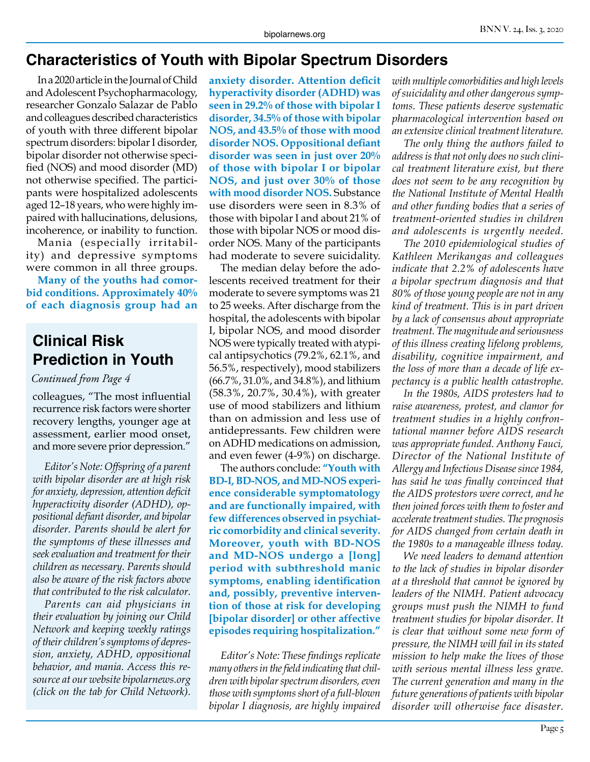### **Characteristics of Youth with Bipolar Spectrum Disorders**

In a 2020 article in the Journal of Child and Adolescent Psychopharmacology, researcher Gonzalo Salazar de Pablo and colleagues described characteristics of youth with three different bipolar spectrum disorders: bipolar I disorder, bipolar disorder not otherwise specified (NOS) and mood disorder (MD) not otherwise specified. The participants were hospitalized adolescents aged 12–18 years, who were highly impaired with hallucinations, delusions, incoherence, or inability to function.

Mania (especially irritability) and depressive symptoms were common in all three groups.

**Many of the youths had comorbid conditions. Approximately 40% of each diagnosis group had an** 

# **Clinical Risk Prediction in Youth**

#### *Continued from Page 4*

colleagues, "The most influential recurrence risk factors were shorter recovery lengths, younger age at assessment, earlier mood onset, and more severe prior depression."

*Editor's Note: Offspring of a parent with bipolar disorder are at high risk for anxiety, depression, attention deficit hyperactivity disorder (ADHD), oppositional defiant disorder, and bipolar disorder. Parents should be alert for the symptoms of these illnesses and seek evaluation and treatment for their children as necessary. Parents should also be aware of the risk factors above that contributed to the risk calculator.*

*Parents can aid physicians in their evaluation by joining our Child Network and keeping weekly ratings of their children's symptoms of depression, anxiety, ADHD, oppositional behavior, and mania. Access this resource at our website bipolarnews.org (click on the tab for Child Network).*

**anxiety disorder. Attention deficit hyperactivity disorder (ADHD) was seen in 29.2% of those with bipolar I disorder, 34.5% of those with bipolar NOS, and 43.5% of those with mood disorder NOS. Oppositional defiant disorder was seen in just over 20% of those with bipolar I or bipolar NOS, and just over 30% of those with mood disorder NOS.** Substance use disorders were seen in 8.3% of those with bipolar I and about 21% of those with bipolar NOS or mood disorder NOS. Many of the participants had moderate to severe suicidality.

The median delay before the adolescents received treatment for their moderate to severe symptoms was 21 to 25 weeks. After discharge from the hospital, the adolescents with bipolar I, bipolar NOS, and mood disorder NOS were typically treated with atypical antipsychotics (79.2%, 62.1%, and 56.5%, respectively), mood stabilizers (66.7%, 31.0%, and 34.8%), and lithium (58.3%, 20.7%, 30.4%), with greater use of mood stabilizers and lithium than on admission and less use of antidepressants. Few children were on ADHD medications on admission, and even fewer (4-9%) on discharge.

The authors conclude: **"Youth with BD-I, BD-NOS, and MD-NOS experience considerable symptomatology and are functionally impaired, with few differences observed in psychiatric comorbidity and clinical severity. Moreover, youth with BD-NOS and MD-NOS undergo a [long] period with subthreshold manic symptoms, enabling identification and, possibly, preventive intervention of those at risk for developing [bipolar disorder] or other affective episodes requiring hospitalization."**

*Editor's Note: These findings replicate many others in the field indicating that children with bipolar spectrum disorders, even those with symptoms short of a full-blown bipolar I diagnosis, are highly impaired*  *with multiple comorbidities and high levels of suicidality and other dangerous symptoms. These patients deserve systematic pharmacological intervention based on an extensive clinical treatment literature.* 

*The only thing the authors failed to address is that not only does no such clinical treatment literature exist, but there does not seem to be any recognition by the National Institute of Mental Health and other funding bodies that a series of treatment-oriented studies in children and adolescents is urgently needed.* 

*The 2010 epidemiological studies of Kathleen Merikangas and colleagues indicate that 2.2% of adolescents have a bipolar spectrum diagnosis and that 80% of those young people are not in any kind of treatment. This is in part driven by a lack of consensus about appropriate treatment. The magnitude and seriousness of this illness creating lifelong problems, disability, cognitive impairment, and the loss of more than a decade of life expectancy is a public health catastrophe.*

*In the 1980s, AIDS protesters had to raise awareness, protest, and clamor for treatment studies in a highly confrontational manner before AIDS research was appropriate funded. Anthony Fauci, Director of the National Institute of Allergy and Infectious Disease since 1984, has said he was finally convinced that the AIDS protestors were correct, and he then joined forces with them to foster and accelerate treatment studies. The prognosis for AIDS changed from certain death in the 1980s to a manageable illness today.*

*We need leaders to demand attention to the lack of studies in bipolar disorder at a threshold that cannot be ignored by leaders of the NIMH. Patient advocacy groups must push the NIMH to fund treatment studies for bipolar disorder. It is clear that without some new form of pressure, the NIMH will fail in its stated mission to help make the lives of those with serious mental illness less grave. The current generation and many in the future generations of patients with bipolar disorder will otherwise face disaster.*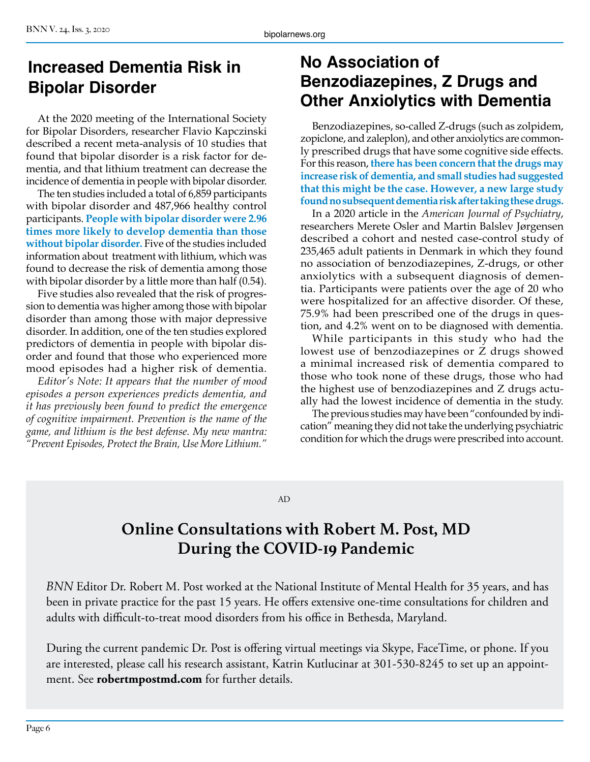# **Increased Dementia Risk in Bipolar Disorder**

At the 2020 meeting of the International Society for Bipolar Disorders, researcher Flavio Kapczinski described a recent meta-analysis of 10 studies that found that bipolar disorder is a risk factor for dementia, and that lithium treatment can decrease the incidence of dementia in people with bipolar disorder.

The ten studies included a total of 6,859 participants with bipolar disorder and 487,966 healthy control participants. **People with bipolar disorder were 2.96 times more likely to develop dementia than those without bipolar disorder.** Five of the studies included information about treatment with lithium, which was found to decrease the risk of dementia among those with bipolar disorder by a little more than half (0.54).

Five studies also revealed that the risk of progression to dementia was higher among those with bipolar disorder than among those with major depressive disorder. In addition, one of the ten studies explored predictors of dementia in people with bipolar disorder and found that those who experienced more mood episodes had a higher risk of dementia.

*Editor's Note: It appears that the number of mood episodes a person experiences predicts dementia, and it has previously been found to predict the emergence of cognitive impairment. Prevention is the name of the game, and lithium is the best defense. My new mantra: "Prevent Episodes, Protect the Brain, Use More Lithium."*

# **No Association of Benzodiazepines, Z Drugs and Other Anxiolytics with Dementia**

Benzodiazepines, so-called Z-drugs (such as zolpidem, zopiclone, and zaleplon), and other anxiolytics are commonly prescribed drugs that have some cognitive side effects. For this reason, **there has been concern that the drugs may increase risk of dementia, and small studies had suggested that this might be the case. However, a new large study found no subsequent dementia risk after taking these drugs.**

In a 2020 article in the *American Journal of Psychiatry*, researchers Merete Osler and Martin Balslev Jørgensen described a cohort and nested case-control study of 235,465 adult patients in Denmark in which they found no association of benzodiazepines, Z-drugs, or other anxiolytics with a subsequent diagnosis of dementia. Participants were patients over the age of 20 who were hospitalized for an affective disorder. Of these, 75.9% had been prescribed one of the drugs in question, and 4.2% went on to be diagnosed with dementia.

While participants in this study who had the lowest use of benzodiazepines or Z drugs showed a minimal increased risk of dementia compared to those who took none of these drugs, those who had the highest use of benzodiazepines and Z drugs actually had the lowest incidence of dementia in the study.

The previous studies may have been "confounded by indication" meaning they did not take the underlying psychiatric condition for which the drugs were prescribed into account.

#### AD

# **Online Consultations with Robert M. Post, MD During the COVID-19 Pandemic**

*BNN* Editor Dr. Robert M. Post worked at the National Institute of Mental Health for 35 years, and has been in private practice for the past 15 years. He offers extensive one-time consultations for children and adults with difficult-to-treat mood disorders from his office in Bethesda, Maryland.

During the current pandemic Dr. Post is offering virtual meetings via Skype, FaceTime, or phone. If you are interested, please call his research assistant, Katrin Kutlucinar at 301-530-8245 to set up an appointment. See **robertmpostmd.com** for further details.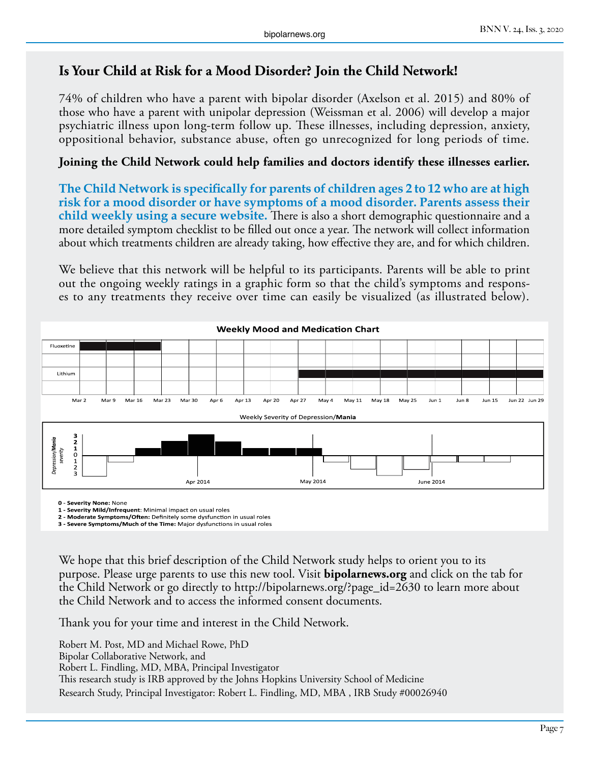#### **Is Your Child at Risk for a Mood Disorder? Join the Child Network!**

74% of children who have a parent with bipolar disorder (Axelson et al. 2015) and 80% of those who have a parent with unipolar depression (Weissman et al. 2006) will develop a major psychiatric illness upon long-term follow up. These illnesses, including depression, anxiety, oppositional behavior, substance abuse, often go unrecognized for long periods of time.

#### **Joining the Child Network could help families and doctors identify these illnesses earlier.**

**The Child Network is specifically for parents of children ages 2 to 12 who are at high risk for a mood disorder or have symptoms of a mood disorder. Parents assess their child weekly using a secure website.** There is also a short demographic questionnaire and a more detailed symptom checklist to be filled out once a year. The network will collect information about which treatments children are already taking, how effective they are, and for which children.

We believe that this network will be helpful to its participants. Parents will be able to print out the ongoing weekly ratings in a graphic form so that the child's symptoms and responses to any treatments they receive over time can easily be visualized (as illustrated below).



**0 - Severity None:** None

**1 - Severity Mild/Infrequent**: Minimal impact on usual roles

**2 - Moderate Symptoms/Often:** Definitely some dysfunction in usual roles **3 - Severe Symptoms/Much of the Time:** Major dysfunctions in usual roles

We hope that this brief description of the Child Network study helps to orient you to its purpose. Please urge parents to use this new tool. Visit **bipolarnews.org** and click on the tab for the Child Network or go directly to http://bipolarnews.org/?page\_id=2630 to learn more about the Child Network and to access the informed consent documents.

Thank you for your time and interest in the Child Network.

Robert M. Post, MD and Michael Rowe, PhD Bipolar Collaborative Network, and Robert L. Findling, MD, MBA, Principal Investigator This research study is IRB approved by the Johns Hopkins University School of Medicine Research Study, Principal Investigator: Robert L. Findling, MD, MBA , IRB Study #00026940